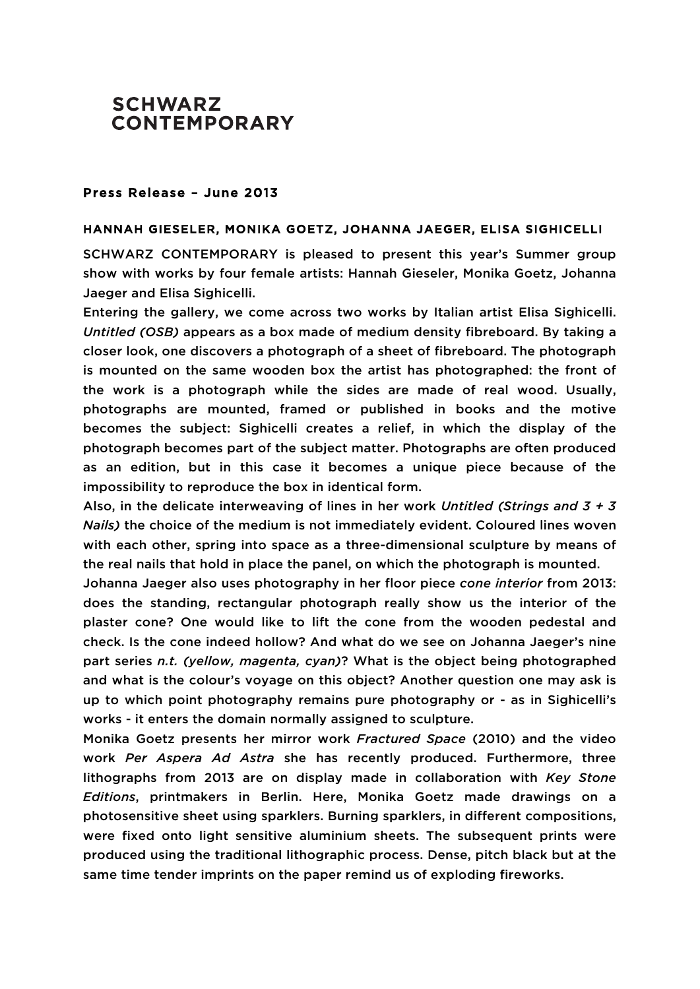## **SCHWARZ CONTEMPORARY**

## Press Release – June 2013

## HANNAH GIESELER, MONIKA GOETZ, JOHANNA JAEGER, ELISA SIGHICELLI

SCHWARZ CONTEMPORARY is pleased to present this year's Summer group show with works by four female artists: Hannah Gieseler, Monika Goetz, Johanna Jaeger and Elisa Sighicelli.

Entering the gallery, we come across two works by Italian artist Elisa Sighicelli. *Untitled (OSB)* appears as a box made of medium density fibreboard. By taking a closer look, one discovers a photograph of a sheet of fibreboard. The photograph is mounted on the same wooden box the artist has photographed: the front of the work is a photograph while the sides are made of real wood. Usually, photographs are mounted, framed or published in books and the motive becomes the subject: Sighicelli creates a relief, in which the display of the photograph becomes part of the subject matter. Photographs are often produced as an edition, but in this case it becomes a unique piece because of the impossibility to reproduce the box in identical form.

Also, in the delicate interweaving of lines in her work *Untitled (Strings and 3 + 3 Nails)* the choice of the medium is not immediately evident. Coloured lines woven with each other, spring into space as a three-dimensional sculpture by means of the real nails that hold in place the panel, on which the photograph is mounted.

Johanna Jaeger also uses photography in her floor piece *cone interior* from 2013: does the standing, rectangular photograph really show us the interior of the plaster cone? One would like to lift the cone from the wooden pedestal and check. Is the cone indeed hollow? And what do we see on Johanna Jaeger's nine part series *n.t. (yellow, magenta, cyan)*? What is the object being photographed and what is the colour's voyage on this object? Another question one may ask is up to which point photography remains pure photography or - as in Sighicelli's works - it enters the domain normally assigned to sculpture.

Monika Goetz presents her mirror work *Fractured Space* (2010) and the video work *Per Aspera Ad Astra* she has recently produced. Furthermore, three lithographs from 2013 are on display made in collaboration with *Key Stone Editions*, printmakers in Berlin. Here, Monika Goetz made drawings on a photosensitive sheet using sparklers. Burning sparklers, in different compositions, were fixed onto light sensitive aluminium sheets. The subsequent prints were produced using the traditional lithographic process. Dense, pitch black but at the same time tender imprints on the paper remind us of exploding fireworks.